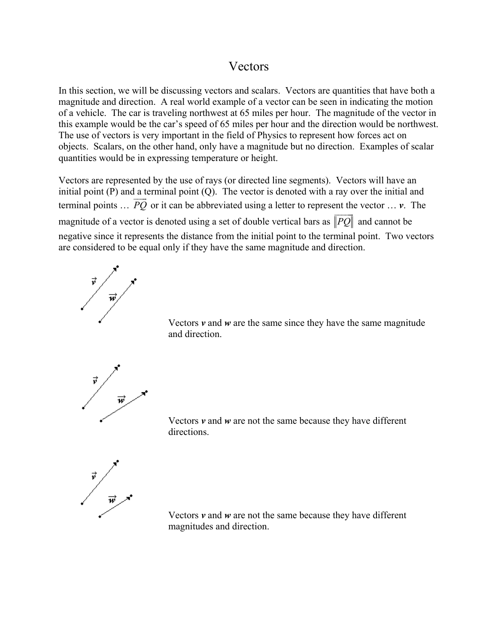## Vectors

In this section, we will be discussing vectors and scalars. Vectors are quantities that have both a magnitude and direction. A real world example of a vector can be seen in indicating the motion of a vehicle. The car is traveling northwest at 65 miles per hour. The magnitude of the vector in this example would be the car's speed of 65 miles per hour and the direction would be northwest. The use of vectors is very important in the field of Physics to represent how forces act on objects. Scalars, on the other hand, only have a magnitude but no direction. Examples of scalar quantities would be in expressing temperature or height.

Vectors are represented by the use of rays (or directed line segments). Vectors will have an initial point (P) and a terminal point (Q). The vector is denoted with a ray over the initial and terminal points  $\ldots$  *PQ* or it can be abbreviated using a letter to represent the vector  $\ldots$  *v*. The magnitude of a vector is denoted using a set of double vertical bars as *PQ*  $\frac{1}{2}$  and cannot be negative since it represents the distance from the initial point to the terminal point. Two vectors are considered to be equal only if they have the same magnitude and direction.





 $\frac{\vec{v}}{|\vec{w}|}$ 

 Vectors *v* and *w* are not the same because they have different directions.



 Vectors *v* and *w* are not the same because they have different magnitudes and direction.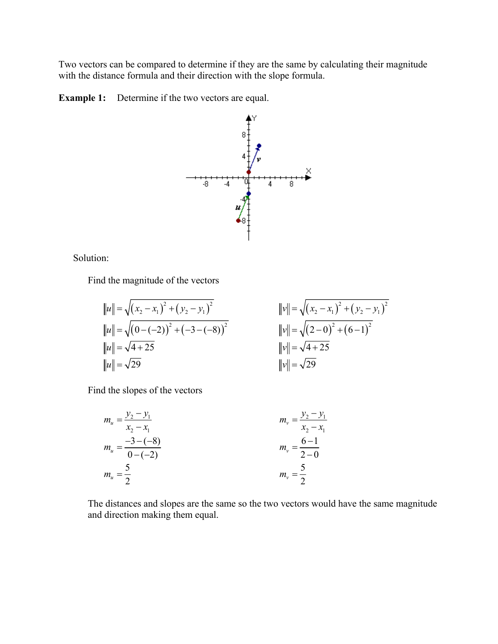Two vectors can be compared to determine if they are the same by calculating their magnitude with the distance formula and their direction with the slope formula.

**Example 1:** Determine if the two vectors are equal.



Solution:

Find the magnitude of the vectors

$$
||u|| = \sqrt{(x_2 - x_1)^2 + (y_2 - y_1)^2}
$$
  
\n
$$
||u|| = \sqrt{(0 - (-2))^2 + (-3 - (-8))^2}
$$
  
\n
$$
||v|| = \sqrt{(x_2 - x_1)^2 + (y_2 - y_1)^2}
$$
  
\n
$$
||v|| = \sqrt{(x_2 - x_1)^2 + (y_2 - y_1)^2}
$$
  
\n
$$
||v|| = \sqrt{(2 - 0)^2 + (6 - 1)^2}
$$
  
\n
$$
||v|| = \sqrt{4 + 25}
$$
  
\n
$$
||v|| = \sqrt{4 + 25}
$$
  
\n
$$
||v|| = \sqrt{29}
$$

Find the slopes of the vectors

$$
m_{u} = \frac{y_{2} - y_{1}}{x_{2} - x_{1}}
$$
  
\n
$$
m_{u} = \frac{-3 - (-8)}{0 - (-2)}
$$
  
\n
$$
m_{u} = \frac{5}{2}
$$
  
\n
$$
m_{v} = \frac{6 - 1}{2 - 0}
$$
  
\n
$$
m_{v} = \frac{5}{2}
$$
  
\n
$$
m_{v} = \frac{5}{2}
$$

 The distances and slopes are the same so the two vectors would have the same magnitude and direction making them equal.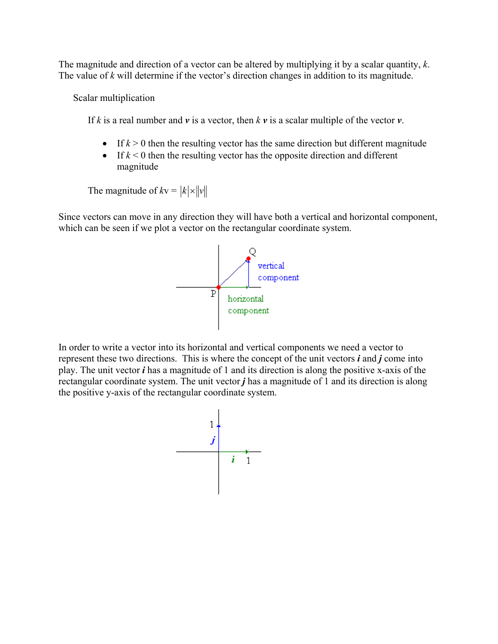The magnitude and direction of a vector can be altered by multiplying it by a scalar quantity, *k*. The value of *k* will determine if the vector's direction changes in addition to its magnitude.

Scalar multiplication

If *k* is a real number and *v* is a vector, then *k v* is a scalar multiple of the vector *v*.

- If  $k > 0$  then the resulting vector has the same direction but different magnitude
- If  $k < 0$  then the resulting vector has the opposite direction and different magnitude

The magnitude of  $k\mathbf{v} = |k| \times ||\mathbf{v}||$ 

Since vectors can move in any direction they will have both a vertical and horizontal component, which can be seen if we plot a vector on the rectangular coordinate system.



In order to write a vector into its horizontal and vertical components we need a vector to represent these two directions. This is where the concept of the unit vectors *i* and *j* come into play. The unit vector *i* has a magnitude of 1 and its direction is along the positive x-axis of the rectangular coordinate system. The unit vector *j* has a magnitude of 1 and its direction is along the positive y-axis of the rectangular coordinate system.

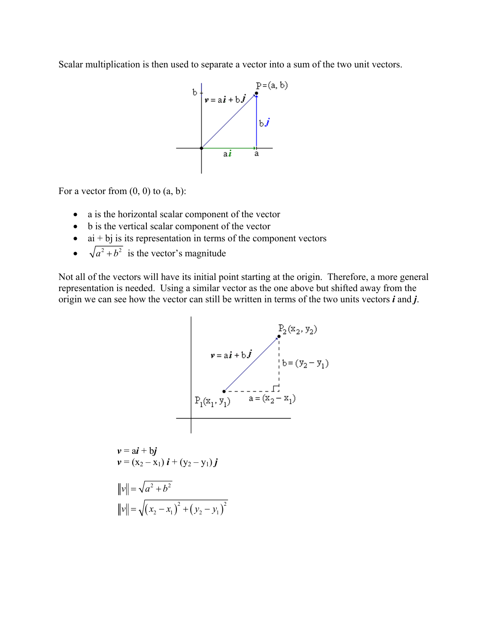Scalar multiplication is then used to separate a vector into a sum of the two unit vectors.



For a vector from  $(0, 0)$  to  $(a, b)$ :

- a is the horizontal scalar component of the vector
- b is the vertical scalar component of the vector
- $\bullet$  ai + bj is its representation in terms of the component vectors
- $\sqrt{a^2 + b^2}$  is the vector's magnitude

Not all of the vectors will have its initial point starting at the origin. Therefore, a more general representation is needed. Using a similar vector as the one above but shifted away from the origin we can see how the vector can still be written in terms of the two units vectors *i* and *j*.

$$
v = ai + bj
$$
  
\n
$$
v = ai + bj
$$
  
\n
$$
P_1(x_1, y_1)
$$
  
\n
$$
v = (x_2 - x_1)
$$
  
\n
$$
v = (x_2 - x_1)i + (y_2 - y_1)j
$$
  
\n
$$
w = \sqrt{(x_2 - x_1)^2 + (y_2 - y_1)^2}
$$
  
\n
$$
w = \sqrt{(x_2 - x_1)^2 + (y_2 - y_1)^2}
$$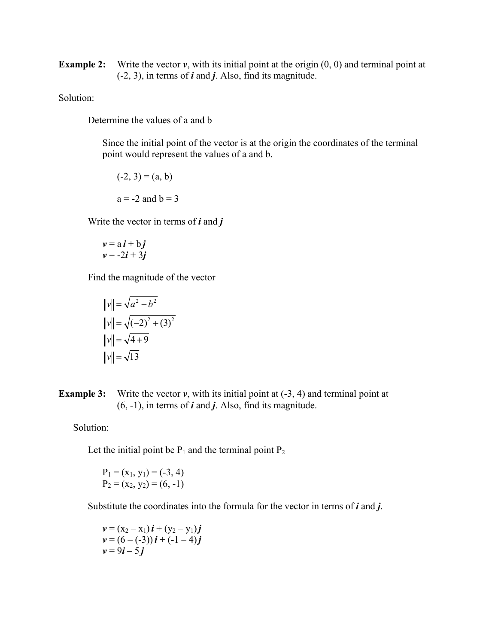**Example 2:** Write the vector *v*, with its initial point at the origin  $(0, 0)$  and terminal point at (-2, 3), in terms of *i* and *j*. Also, find its magnitude.

Solution:

Determine the values of a and b

 Since the initial point of the vector is at the origin the coordinates of the terminal point would represent the values of a and b.

$$
(-2, 3) = (a, b)
$$
  
a = -2 and b = 3

Write the vector in terms of *i* and *j*

$$
v = ai + bj
$$
  

$$
v = -2i + 3j
$$

Find the magnitude of the vector

$$
||v|| = \sqrt{a^2 + b^2}
$$
  
\n
$$
||v|| = \sqrt{(-2)^2 + (3)^2}
$$
  
\n
$$
||v|| = \sqrt{4 + 9}
$$
  
\n
$$
||v|| = \sqrt{13}
$$

**Example 3:** Write the vector  $v$ , with its initial point at  $(-3, 4)$  and terminal point at (6, -1), in terms of *i* and *j*. Also, find its magnitude.

Solution:

Let the initial point be  $P_1$  and the terminal point  $P_2$ 

$$
P_1 = (x_1, y_1) = (-3, 4)
$$
  
P\_2 = (x\_2, y\_2) = (6, -1)

Substitute the coordinates into the formula for the vector in terms of *i* and *j*.

$$
\mathbf{v} = (x_2 - x_1)\,\mathbf{i} + (y_2 - y_1)\,\mathbf{j}
$$
\n
$$
\mathbf{v} = (6 - (-3))\,\mathbf{i} + (-1 - 4)\,\mathbf{j}
$$
\n
$$
\mathbf{v} = 9\mathbf{i} - 5\,\mathbf{j}
$$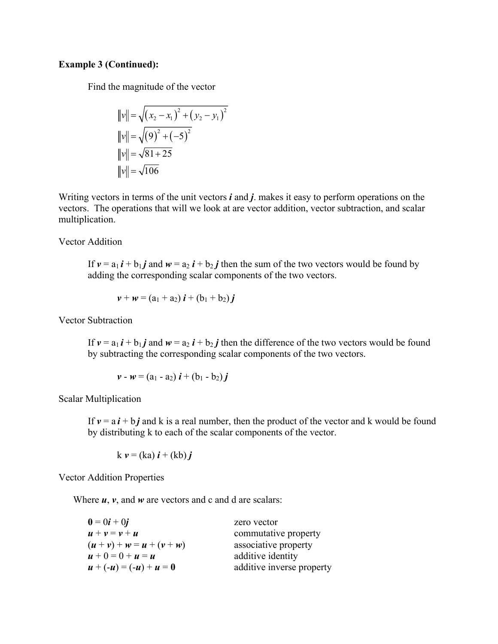## **Example 3 (Continued):**

Find the magnitude of the vector

$$
||v|| = \sqrt{(x_2 - x_1)^2 + (y_2 - y_1)^2}
$$
  
\n
$$
||v|| = \sqrt{(9)^2 + (-5)^2}
$$
  
\n
$$
||v|| = \sqrt{81 + 25}
$$
  
\n
$$
||v|| = \sqrt{106}
$$

Writing vectors in terms of the unit vectors *i* and *j*. makes it easy to perform operations on the vectors. The operations that will we look at are vector addition, vector subtraction, and scalar multiplication.

Vector Addition

If  $v = a_1 i + b_1 j$  and  $w = a_2 i + b_2 j$  then the sum of the two vectors would be found by adding the corresponding scalar components of the two vectors.

$$
v + w = (a_1 + a_2) i + (b_1 + b_2) j
$$

Vector Subtraction

If  $v = a_1 i + b_1 j$  and  $w = a_2 i + b_2 j$  then the difference of the two vectors would be found by subtracting the corresponding scalar components of the two vectors.

$$
v - w = (a_1 - a_2) i + (b_1 - b_2) j
$$

Scalar Multiplication

If  $v = a i + b j$  and k is a real number, then the product of the vector and k would be found by distributing k to each of the scalar components of the vector.

$$
k \mathbf{v} = (ka) \mathbf{i} + (kb) \mathbf{j}
$$

Vector Addition Properties

Where *u*, *v*, and *w* are vectors and c and d are scalars:

| $0 = 0i + 0j$               | zero vector               |
|-----------------------------|---------------------------|
| $u + v = v + u$             | commutative property      |
| $(u + v) + w = u + (v + w)$ | associative property      |
| $u + 0 = 0 + u = u$         | additive identity         |
| $u + (-u) = (-u) + u = 0$   | additive inverse property |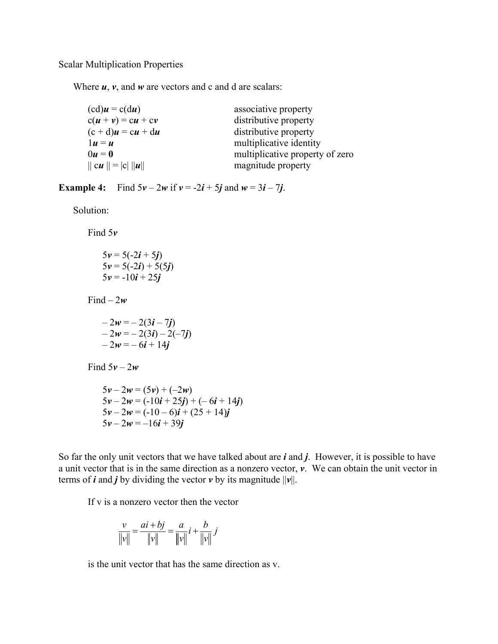Scalar Multiplication Properties

Where *u*, *v*, and *w* are vectors and c and d are scalars:

| $(cd)u = c(du)$         | associative property            |
|-------------------------|---------------------------------|
| $c(u + v) = cu + cv$    | distributive property           |
| $(c + d)u = cu + du$    | distributive property           |
| $1u = u$                | multiplicative identity         |
| $0u=0$                  | multiplicative property of zero |
| $   cu    =  c     u  $ | magnitude property              |

**Example 4:** Find  $5\nu - 2\nu$  if  $\nu = -2i + 5j$  and  $\nu = 3i - 7j$ .

Solution:

Find 5*v*

$$
5v = 5(-2i + 5j)
$$
  
\n
$$
5v = 5(-2i) + 5(5j)
$$
  
\n
$$
5v = -10i + 25j
$$

Find  $-2w$ 

$$
-2w = -2(3i - 7j) \n-2w = -2(3i) - 2(-7j) \n-2w = -6i + 14j
$$

Find  $5v - 2w$ 

 $5v - 2w = (5v) + (-2w)$  $5v - 2w = (-10i + 25j) + (-6i + 14j)$  $5v - 2w = (-10 - 6)i + (25 + 14)j$  $5v - 2w = -16i + 39j$ 

So far the only unit vectors that we have talked about are *i* and *j*. However, it is possible to have a unit vector that is in the same direction as a nonzero vector, *v*. We can obtain the unit vector in terms of *i* and *j* by dividing the vector  $v$  by its magnitude  $||v||$ .

If v is a nonzero vector then the vector

$$
\frac{v}{\|v\|} = \frac{ai + bj}{\|v\|} = \frac{a}{\|v\|}i + \frac{b}{\|v\|}j
$$

is the unit vector that has the same direction as v.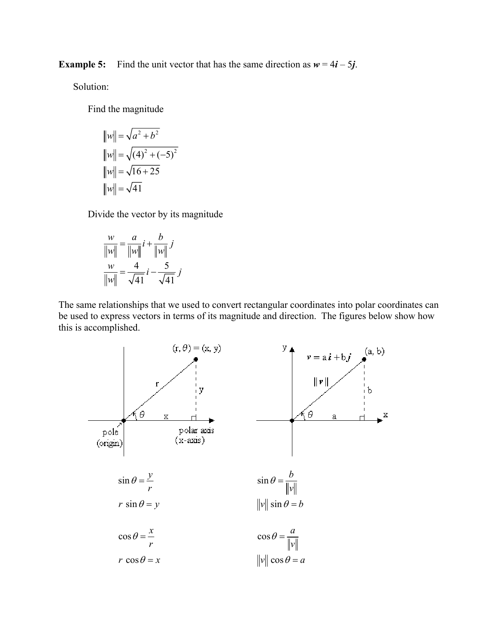**Example 5:** Find the unit vector that has the same direction as  $w = 4i - 5j$ .

Solution:

Find the magnitude

$$
||w|| = \sqrt{a^2 + b^2}
$$
  
\n
$$
||w|| = \sqrt{(4)^2 + (-5)^2}
$$
  
\n
$$
||w|| = \sqrt{16 + 25}
$$
  
\n
$$
||w|| = \sqrt{41}
$$

Divide the vector by its magnitude

$$
\frac{w}{\|w\|} = \frac{a}{\|w\|}i + \frac{b}{\|w\|}j
$$

$$
\frac{w}{\|w\|} = \frac{4}{\sqrt{41}}i - \frac{5}{\sqrt{41}}j
$$

The same relationships that we used to convert rectangular coordinates into polar coordinates can be used to express vectors in terms of its magnitude and direction. The figures below show how this is accomplished.

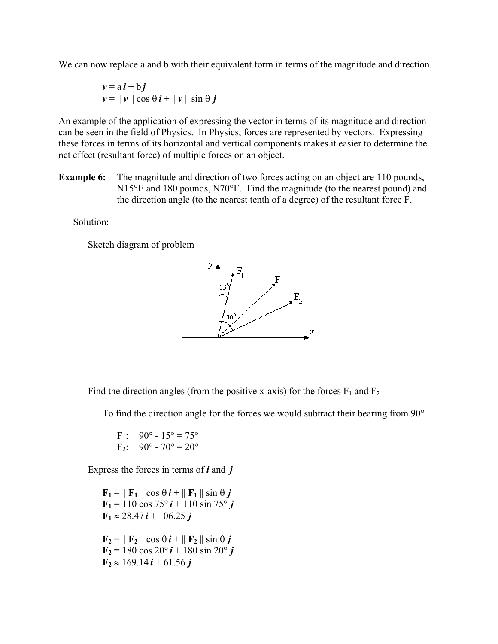We can now replace a and b with their equivalent form in terms of the magnitude and direction.

$$
\nu = a i + b j
$$
  
 
$$
\nu = || \nu || \cos \theta i + || \nu || \sin \theta j
$$

An example of the application of expressing the vector in terms of its magnitude and direction can be seen in the field of Physics. In Physics, forces are represented by vectors. Expressing these forces in terms of its horizontal and vertical components makes it easier to determine the net effect (resultant force) of multiple forces on an object.

**Example 6:** The magnitude and direction of two forces acting on an object are 110 pounds, N15°E and 180 pounds, N70°E. Find the magnitude (to the nearest pound) and the direction angle (to the nearest tenth of a degree) of the resultant force F.

Solution:

Sketch diagram of problem



Find the direction angles (from the positive x-axis) for the forces  $F_1$  and  $F_2$ 

To find the direction angle for the forces we would subtract their bearing from 90°

F<sub>1</sub>: 
$$
90^{\circ} - 15^{\circ} = 75^{\circ}
$$
  
F<sub>2</sub>:  $90^{\circ} - 70^{\circ} = 20^{\circ}$ 

Express the forces in terms of *i* and *j*

 $\mathbf{F}_1 = \parallel \mathbf{F}_1 \parallel \cos \theta \, \mathbf{i} + \parallel \mathbf{F}_1 \parallel \sin \theta \, \mathbf{j}$  $\mathbf{F}_1 = 110 \cos 75^\circ \mathbf{i} + 110 \sin 75^\circ \mathbf{j}$  $\mathbf{F}_1 \approx 28.47 \,\mathbf{i} + 106.25 \,\mathbf{j}$  $\mathbf{F}_2 = || \mathbf{F}_2 || \cos \theta \mathbf{i} + || \mathbf{F}_2 || \sin \theta \mathbf{j}$  $\mathbf{F}_2 = 180 \cos 20^\circ \mathbf{i} + 180 \sin 20^\circ \mathbf{j}$  $\mathbf{F}_2 \approx 169.14 \mathbf{i} + 61.56 \mathbf{j}$